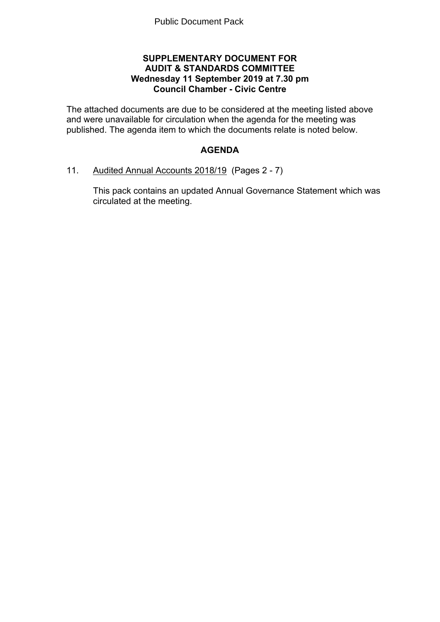#### **SUPPLEMENTARY DOCUMENT FOR AUDIT & STANDARDS COMMITTEE Wednesday 11 September 2019 at 7.30 pm Council Chamber - Civic Centre**

The attached documents are due to be considered at the meeting listed above and were unavailable for circulation when the agenda for the meeting was published. The agenda item to which the documents relate is noted below.

## **AGENDA**

11. Audited Annual Accounts 2018/19(Pages 2 - 7)

This pack contains an updated Annual Governance Statement which was circulated at the meeting.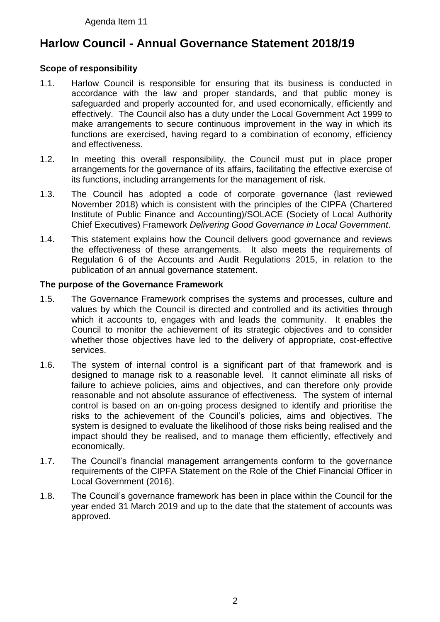Agenda Item 11

# **Harlow Council - Annual Governance Statement 2018/19**

## **Scope of responsibility**

- 1.1. Harlow Council is responsible for ensuring that its business is conducted in accordance with the law and proper standards, and that public money is safeguarded and properly accounted for, and used economically, efficiently and effectively. The Council also has a duty under the Local Government Act 1999 to make arrangements to secure continuous improvement in the way in which its functions are exercised, having regard to a combination of economy, efficiency and effectiveness.
- 1.2. In meeting this overall responsibility, the Council must put in place proper arrangements for the governance of its affairs, facilitating the effective exercise of its functions, including arrangements for the management of risk.
- 1.3. The Council has adopted a code of corporate governance (last reviewed November 2018) which is consistent with the principles of the CIPFA (Chartered Institute of Public Finance and Accounting)/SOLACE (Society of Local Authority Chief Executives) Framework *Delivering Good Governance in Local Government*.
- 1.4. This statement explains how the Council delivers good governance and reviews the effectiveness of these arrangements. It also meets the requirements of Regulation 6 of the Accounts and Audit Regulations 2015, in relation to the publication of an annual governance statement.

#### **The purpose of the Governance Framework**

- 1.5. The Governance Framework comprises the systems and processes, culture and values by which the Council is directed and controlled and its activities through which it accounts to, engages with and leads the community. It enables the Council to monitor the achievement of its strategic objectives and to consider whether those objectives have led to the delivery of appropriate, cost-effective services.
- 1.6. The system of internal control is a significant part of that framework and is designed to manage risk to a reasonable level. It cannot eliminate all risks of failure to achieve policies, aims and objectives, and can therefore only provide reasonable and not absolute assurance of effectiveness. The system of internal control is based on an on-going process designed to identify and prioritise the risks to the achievement of the Council's policies, aims and objectives. The system is designed to evaluate the likelihood of those risks being realised and the impact should they be realised, and to manage them efficiently, effectively and economically.
- 1.7. The Council's financial management arrangements conform to the governance requirements of the CIPFA Statement on the Role of the Chief Financial Officer in Local Government (2016).
- 1.8. The Council's governance framework has been in place within the Council for the year ended 31 March 2019 and up to the date that the statement of accounts was approved.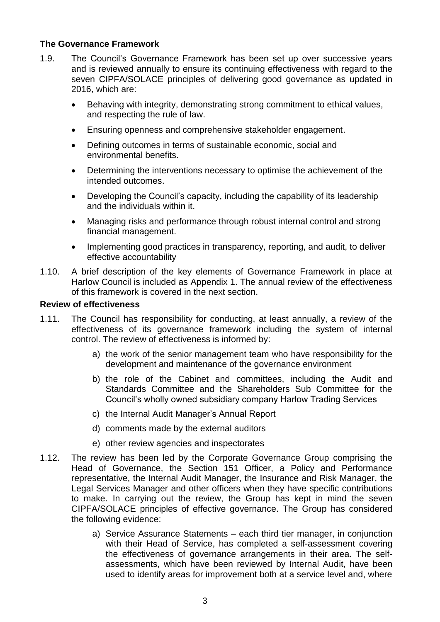## **The Governance Framework**

- 1.9. The Council's Governance Framework has been set up over successive years and is reviewed annually to ensure its continuing effectiveness with regard to the seven CIPFA/SOLACE principles of delivering good governance as updated in 2016, which are:
	- Behaving with integrity, demonstrating strong commitment to ethical values, and respecting the rule of law.
	- Ensuring openness and comprehensive stakeholder engagement.
	- Defining outcomes in terms of sustainable economic, social and environmental benefits.
	- Determining the interventions necessary to optimise the achievement of the intended outcomes.
	- Developing the Council's capacity, including the capability of its leadership and the individuals within it.
	- Managing risks and performance through robust internal control and strong financial management.
	- Implementing good practices in transparency, reporting, and audit, to deliver effective accountability
- 1.10. A brief description of the key elements of Governance Framework in place at Harlow Council is included as Appendix 1. The annual review of the effectiveness of this framework is covered in the next section.

#### **Review of effectiveness**

- 1.11. The Council has responsibility for conducting, at least annually, a review of the effectiveness of its governance framework including the system of internal control. The review of effectiveness is informed by:
	- a) the work of the senior management team who have responsibility for the development and maintenance of the governance environment
	- b) the role of the Cabinet and committees, including the Audit and Standards Committee and the Shareholders Sub Committee for the Council's wholly owned subsidiary company Harlow Trading Services
	- c) the Internal Audit Manager's Annual Report
	- d) comments made by the external auditors
	- e) other review agencies and inspectorates
- 1.12. The review has been led by the Corporate Governance Group comprising the Head of Governance, the Section 151 Officer, a Policy and Performance representative, the Internal Audit Manager, the Insurance and Risk Manager, the Legal Services Manager and other officers when they have specific contributions to make. In carrying out the review, the Group has kept in mind the seven CIPFA/SOLACE principles of effective governance. The Group has considered the following evidence:
	- a) Service Assurance Statements each third tier manager, in conjunction with their Head of Service, has completed a self-assessment covering the effectiveness of governance arrangements in their area. The selfassessments, which have been reviewed by Internal Audit, have been used to identify areas for improvement both at a service level and, where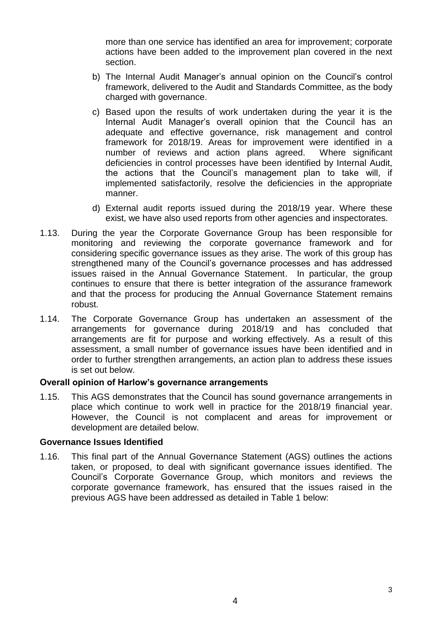more than one service has identified an area for improvement; corporate actions have been added to the improvement plan covered in the next section.

- b) The Internal Audit Manager's annual opinion on the Council's control framework, delivered to the Audit and Standards Committee, as the body charged with governance.
- c) Based upon the results of work undertaken during the year it is the Internal Audit Manager's overall opinion that the Council has an adequate and effective governance, risk management and control framework for 2018/19. Areas for improvement were identified in a number of reviews and action plans agreed. Where significant deficiencies in control processes have been identified by Internal Audit, the actions that the Council's management plan to take will, if implemented satisfactorily, resolve the deficiencies in the appropriate manner.
- d) External audit reports issued during the 2018/19 year. Where these exist, we have also used reports from other agencies and inspectorates.
- 1.13. During the year the Corporate Governance Group has been responsible for monitoring and reviewing the corporate governance framework and for considering specific governance issues as they arise. The work of this group has strengthened many of the Council's governance processes and has addressed issues raised in the Annual Governance Statement. In particular, the group continues to ensure that there is better integration of the assurance framework and that the process for producing the Annual Governance Statement remains robust.
- 1.14. The Corporate Governance Group has undertaken an assessment of the arrangements for governance during 2018/19 and has concluded that arrangements are fit for purpose and working effectively. As a result of this assessment, a small number of governance issues have been identified and in order to further strengthen arrangements, an action plan to address these issues is set out below.

#### **Overall opinion of Harlow's governance arrangements**

1.15. This AGS demonstrates that the Council has sound governance arrangements in place which continue to work well in practice for the 2018/19 financial year. However, the Council is not complacent and areas for improvement or development are detailed below.

#### **Governance Issues Identified**

1.16. This final part of the Annual Governance Statement (AGS) outlines the actions taken, or proposed, to deal with significant governance issues identified. The Council's Corporate Governance Group, which monitors and reviews the corporate governance framework, has ensured that the issues raised in the previous AGS have been addressed as detailed in Table 1 below: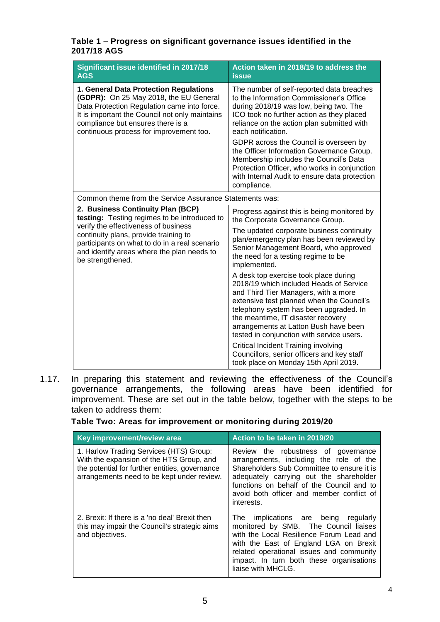#### **Table 1 – Progress on significant governance issues identified in the 2017/18 AGS**

| Significant issue identified in 2017/18<br><b>AGS</b>                                                                                                                                                                                                                                 | Action taken in 2018/19 to address the<br><b>issue</b>                                                                                                                                                                                                                                                                                      |  |  |
|---------------------------------------------------------------------------------------------------------------------------------------------------------------------------------------------------------------------------------------------------------------------------------------|---------------------------------------------------------------------------------------------------------------------------------------------------------------------------------------------------------------------------------------------------------------------------------------------------------------------------------------------|--|--|
| 1. General Data Protection Regulations<br>(GDPR): On 25 May 2018, the EU General<br>Data Protection Regulation came into force.<br>It is important the Council not only maintains<br>compliance but ensures there is a<br>continuous process for improvement too.                     | The number of self-reported data breaches<br>to the Information Commissioner's Office<br>during 2018/19 was low, being two. The<br>ICO took no further action as they placed<br>reliance on the action plan submitted with<br>each notification.                                                                                            |  |  |
|                                                                                                                                                                                                                                                                                       | GDPR across the Council is overseen by<br>the Officer Information Governance Group.<br>Membership includes the Council's Data<br>Protection Officer, who works in conjunction<br>with Internal Audit to ensure data protection<br>compliance.                                                                                               |  |  |
| Common theme from the Service Assurance Statements was:                                                                                                                                                                                                                               |                                                                                                                                                                                                                                                                                                                                             |  |  |
| 2. Business Continuity Plan (BCP)<br>testing: Testing regimes to be introduced to<br>verify the effectiveness of business<br>continuity plans, provide training to<br>participants on what to do in a real scenario<br>and identify areas where the plan needs to<br>be strengthened. | Progress against this is being monitored by<br>the Corporate Governance Group.                                                                                                                                                                                                                                                              |  |  |
|                                                                                                                                                                                                                                                                                       | The updated corporate business continuity<br>plan/emergency plan has been reviewed by<br>Senior Management Board, who approved<br>the need for a testing regime to be<br>implemented.                                                                                                                                                       |  |  |
|                                                                                                                                                                                                                                                                                       | A desk top exercise took place during<br>2018/19 which included Heads of Service<br>and Third Tier Managers, with a more<br>extensive test planned when the Council's<br>telephony system has been upgraded. In<br>the meantime, IT disaster recovery<br>arrangements at Latton Bush have been<br>tested in conjunction with service users. |  |  |
|                                                                                                                                                                                                                                                                                       | <b>Critical Incident Training involving</b><br>Councillors, senior officers and key staff<br>took place on Monday 15th April 2019.                                                                                                                                                                                                          |  |  |

1.17. In preparing this statement and reviewing the effectiveness of the Council's governance arrangements, the following areas have been identified for improvement. These are set out in the table below, together with the steps to be taken to address them:

#### **Table Two: Areas for improvement or monitoring during 2019/20**

| Key improvement/review area                                                                                                                                                         | Action to be taken in 2019/20                                                                                                                                                                                                                                                     |  |  |
|-------------------------------------------------------------------------------------------------------------------------------------------------------------------------------------|-----------------------------------------------------------------------------------------------------------------------------------------------------------------------------------------------------------------------------------------------------------------------------------|--|--|
| 1. Harlow Trading Services (HTS) Group:<br>With the expansion of the HTS Group, and<br>the potential for further entities, governance<br>arrangements need to be kept under review. | Review the robustness of governance<br>arrangements, including the role of the<br>Shareholders Sub Committee to ensure it is<br>adequately carrying out the shareholder<br>functions on behalf of the Council and to<br>avoid both officer and member conflict of<br>interests.   |  |  |
| 2. Brexit: If there is a 'no deal' Brexit then<br>this may impair the Council's strategic aims<br>and objectives.                                                                   | The implications are being regularly<br>monitored by SMB. The Council liaises<br>with the Local Resilience Forum Lead and<br>with the East of England LGA on Brexit<br>related operational issues and community<br>impact. In turn both these organisations<br>liaise with MHCLG. |  |  |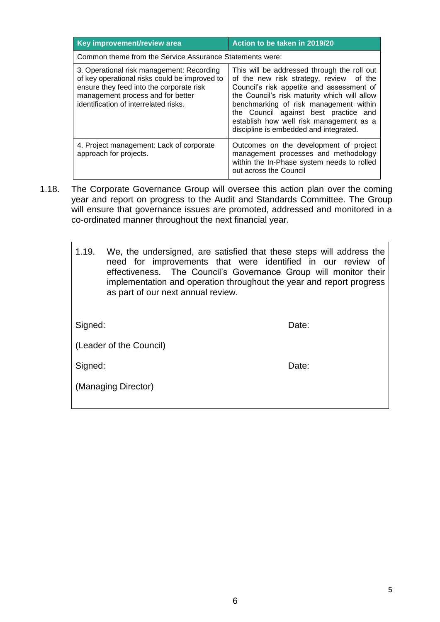| Key improvement/review area                                                                                                                                                                                          | Action to be taken in 2019/20                                                                                                                                                                                                                                                                                                                               |  |  |  |  |
|----------------------------------------------------------------------------------------------------------------------------------------------------------------------------------------------------------------------|-------------------------------------------------------------------------------------------------------------------------------------------------------------------------------------------------------------------------------------------------------------------------------------------------------------------------------------------------------------|--|--|--|--|
| Common theme from the Service Assurance Statements were:                                                                                                                                                             |                                                                                                                                                                                                                                                                                                                                                             |  |  |  |  |
| 3. Operational risk management: Recording<br>of key operational risks could be improved to<br>ensure they feed into the corporate risk<br>management process and for better<br>identification of interrelated risks. | This will be addressed through the roll out<br>of the new risk strategy, review of the<br>Council's risk appetite and assessment of<br>the Council's risk maturity which will allow<br>benchmarking of risk management within<br>the Council against best practice and<br>establish how well risk management as a<br>discipline is embedded and integrated. |  |  |  |  |
| 4. Project management: Lack of corporate<br>approach for projects.                                                                                                                                                   | Outcomes on the development of project<br>management processes and methodology<br>within the In-Phase system needs to rolled<br>out across the Council                                                                                                                                                                                                      |  |  |  |  |

1.18. The Corporate Governance Group will oversee this action plan over the coming year and report on progress to the Audit and Standards Committee. The Group will ensure that governance issues are promoted, addressed and monitored in a co-ordinated manner throughout the next financial year.

| 1.19.                   | We, the undersigned, are satisfied that these steps will address the<br>need for improvements that were identified in our review of<br>effectiveness. The Council's Governance Group will monitor their<br>implementation and operation throughout the year and report progress<br>as part of our next annual review. |       |  |  |
|-------------------------|-----------------------------------------------------------------------------------------------------------------------------------------------------------------------------------------------------------------------------------------------------------------------------------------------------------------------|-------|--|--|
| Signed:                 |                                                                                                                                                                                                                                                                                                                       | Date: |  |  |
| (Leader of the Council) |                                                                                                                                                                                                                                                                                                                       |       |  |  |
| Signed:                 |                                                                                                                                                                                                                                                                                                                       | Date: |  |  |
|                         | (Managing Director)                                                                                                                                                                                                                                                                                                   |       |  |  |

 $\overline{\phantom{a}}$